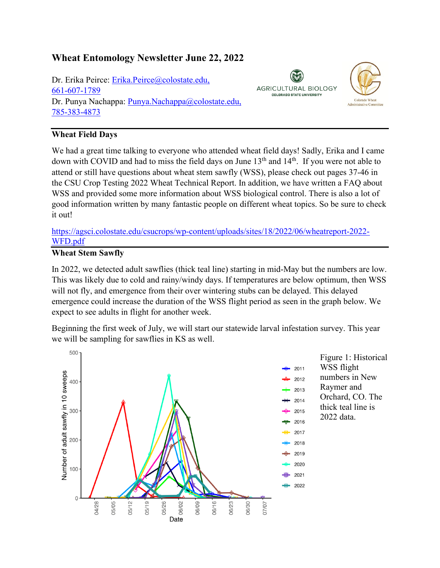# **Wheat Entomology Newsletter June 22, 2022**

Dr. Erika Peirce: [Erika.Peirce@colostate.edu,](mailto:Erika.Peirce@colostate.edu) 661-607-1789 Dr. Punya Nachappa: [Punya.Nachappa@colostate.edu,](mailto:Punya.Nachappa@colostate.edu) 785-383-4873

# **AGRICULTURAL BIOLOGY COLORADO STATE UNIVERSITY**



## **Wheat Field Days**

We had a great time talking to everyone who attended wheat field days! Sadly, Erika and I came down with COVID and had to miss the field days on June 13<sup>th</sup> and 14<sup>th</sup>. If you were not able to attend or still have questions about wheat stem sawfly (WSS), please check out pages 37-46 in the CSU Crop Testing 2022 Wheat Technical Report. In addition, we have written a FAQ about WSS and provided some more information about WSS biological control. There is also a lot of good information written by many fantastic people on different wheat topics. So be sure to check it out!

[https://agsci.colostate.edu/csucrops/wp-content/uploads/sites/18/2022/06/wheatreport-2022-](https://agsci.colostate.edu/csucrops/wp-content/uploads/sites/18/2022/06/wheatreport-2022-WFD.pdf) [WFD.pdf](https://agsci.colostate.edu/csucrops/wp-content/uploads/sites/18/2022/06/wheatreport-2022-WFD.pdf)

#### **Wheat Stem Sawfly**

In 2022, we detected adult sawflies (thick teal line) starting in mid-May but the numbers are low. This was likely due to cold and rainy/windy days. If temperatures are below optimum, then WSS will not fly, and emergence from their over wintering stubs can be delayed. This delayed emergence could increase the duration of the WSS flight period as seen in the graph below. We expect to see adults in flight for another week.

Beginning the first week of July, we will start our statewide larval infestation survey. This year we will be sampling for sawflies in KS as well.

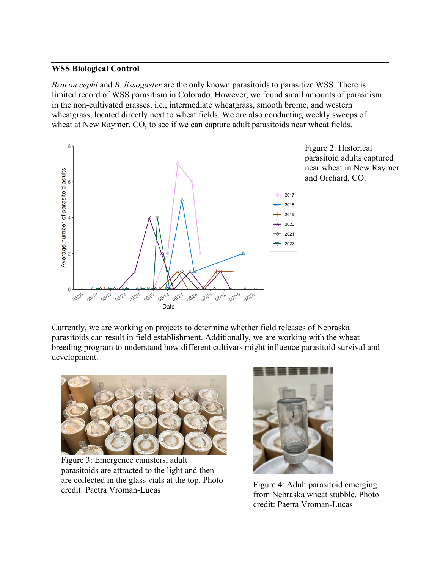#### **WSS Biological Control**

*Bracon cephi* and *B. lissogaster* are the only known parasitoids to parasitize WSS. There is limited record of WSS parasitism in Colorado. However, we found small amounts of parasitism in the non-cultivated grasses, i.e., intermediate wheatgrass, smooth brome, and western wheatgrass, located directly next to wheat fields. We are also conducting weekly sweeps of wheat at New Raymer, CO, to see if we can capture adult parasitoids near wheat fields.



Figure 2: Historical parasitoid adults captured near wheat in New Raymer and Orchard, CO.

Currently, we are working on projects to determine whether field releases of Nebraska parasitoids can result in field establishment. Additionally, we are working with the wheat breeding program to understand how different cultivars might influence parasitoid survival and development.



Figure 3: Emergence canisters, adult parasitoids are attracted to the light and then are collected in the glass vials at the top. Photo credit: Paetra Vroman-Lucas



Figure 4: Adult parasitoid emerging from Nebraska wheat stubble. Photo credit: Paetra Vroman-Lucas